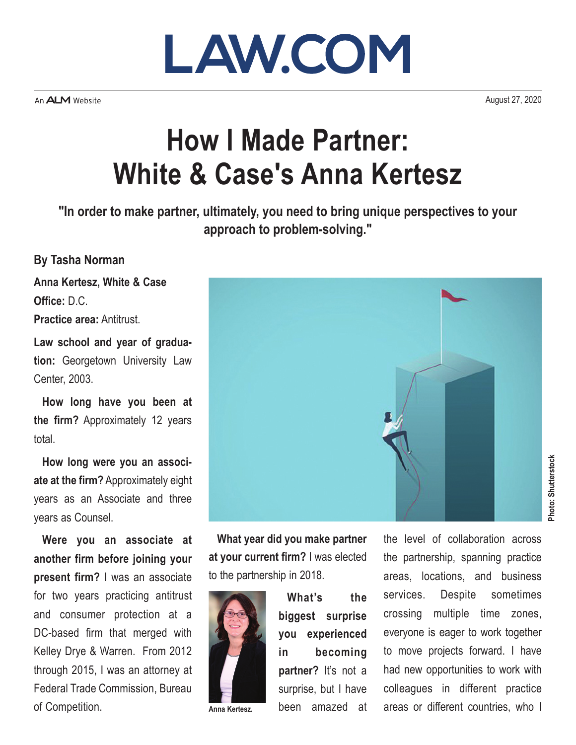

An **ALM** Website

August 27, 2020

## **How I Made Partner: White & Case's Anna Kertesz**

**"In order to make partner, ultimately, you need to bring unique perspectives to your approach to problem-solving."**

## **By Tasha Norman**

**Anna Kertesz, White & Case Office:** D.C.

**Practice area:** Antitrust.

**Law school and year of graduation:** Georgetown University Law Center, 2003.

**How long have you been at the firm?** Approximately 12 years total.

**How long were you an associate at the firm?** Approximately eight years as an Associate and three years as Counsel.

**Were you an associate at another firm before joining your present firm?** I was an associate for two years practicing antitrust and consumer protection at a DC-based firm that merged with Kelley Drye & Warren. From 2012 through 2015, I was an attorney at Federal Trade Commission, Bureau of Competition.



**What year did you make partner at your current firm?** I was elected to the partnership in 2018.



**Anna Kertesz.**

**What's the biggest surprise you experienced in becoming partner?** It's not a surprise, but I have been amazed at

the level of collaboration across the partnership, spanning practice areas, locations, and business services. Despite sometimes crossing multiple time zones, everyone is eager to work together to move projects forward. I have had new opportunities to work with colleagues in different practice areas or different countries, who I